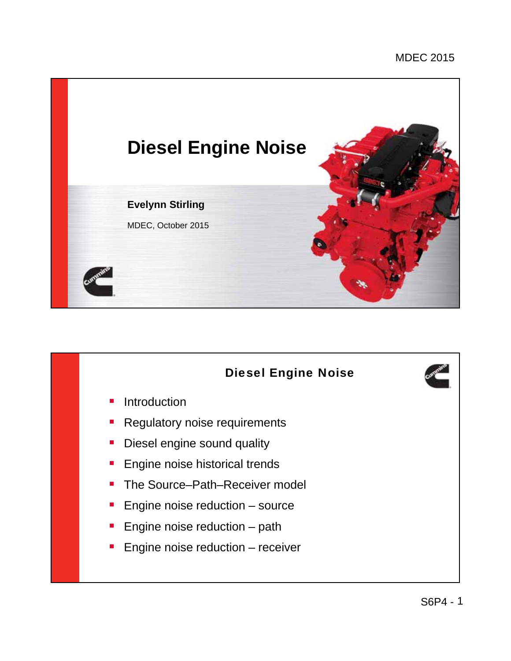

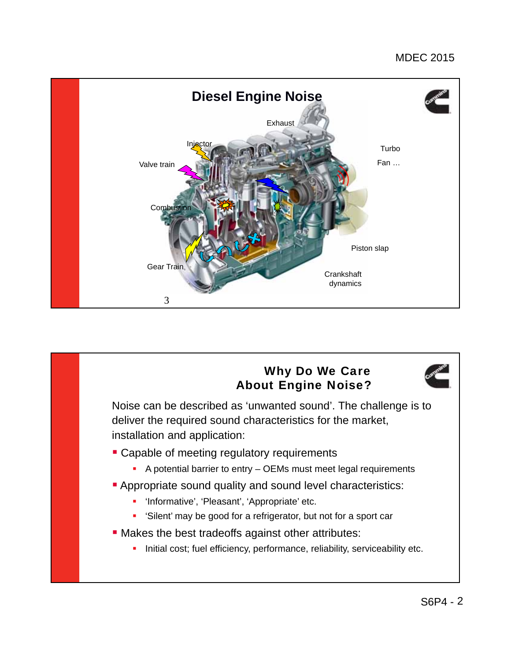

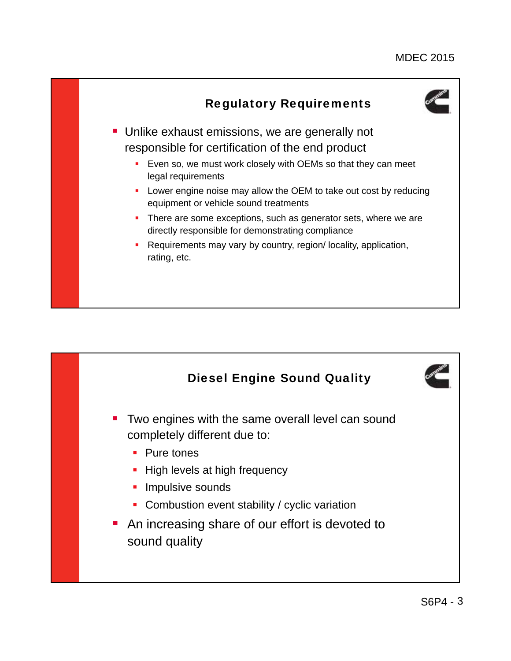

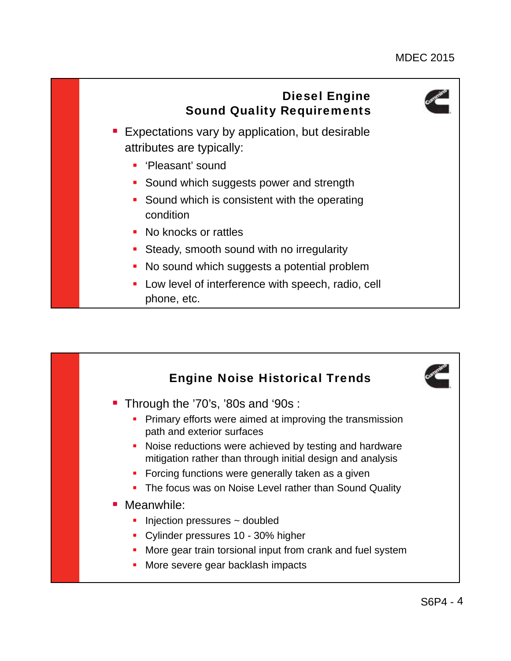

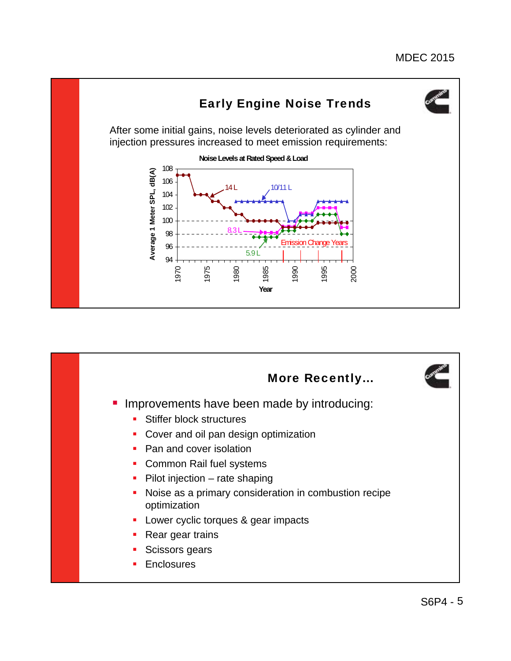

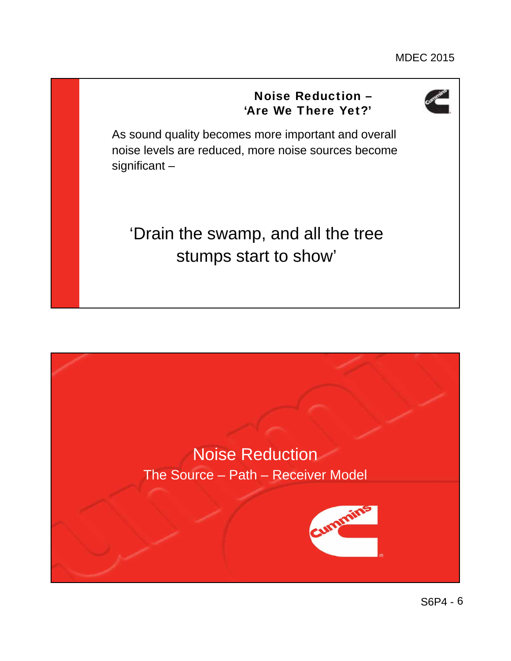## Noise Reduction – 'Are We There Yet?'



As sound quality becomes more important and overall noise levels are reduced, more noise sources become significant –

'Drain the swamp, and all the tree stumps start to show'

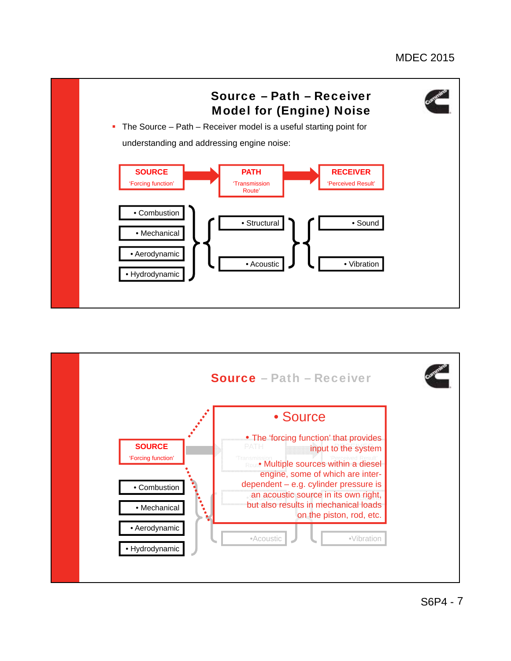

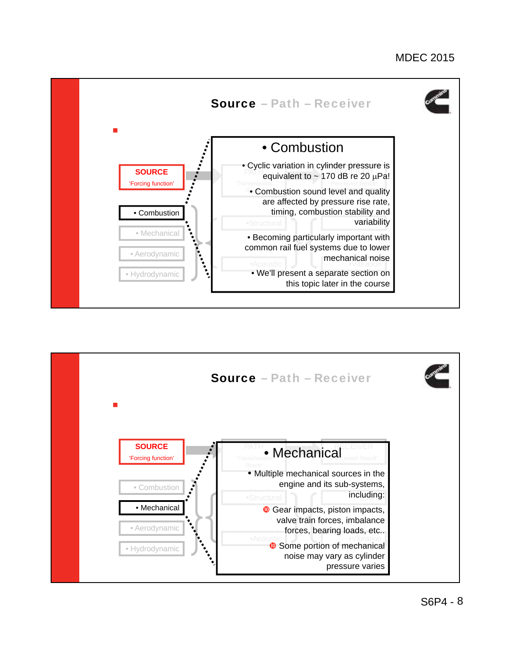

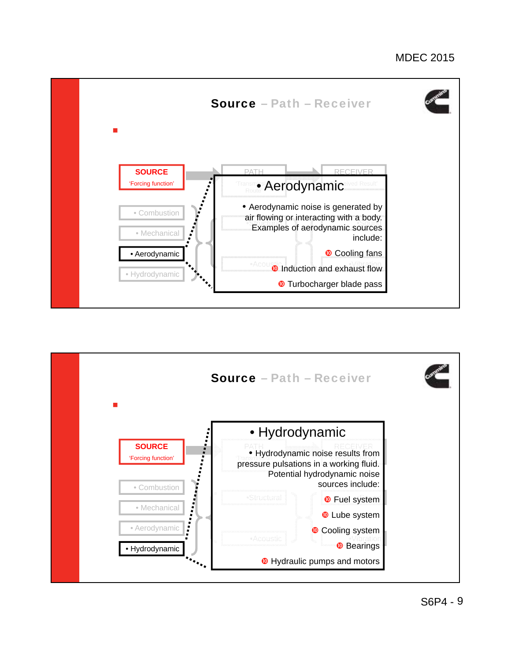

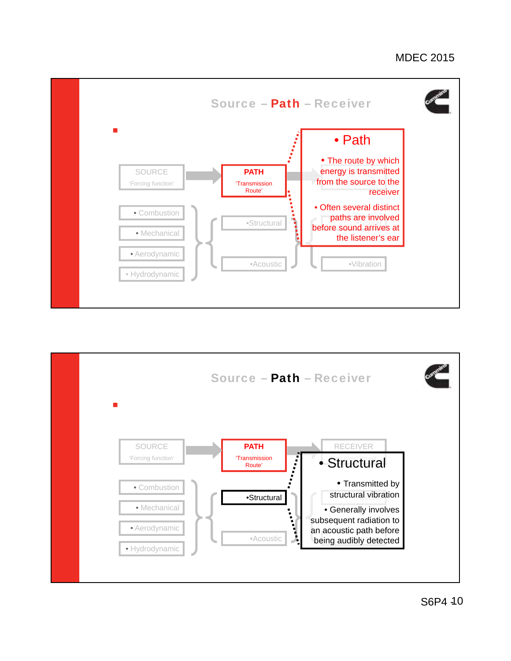



S6P4 -10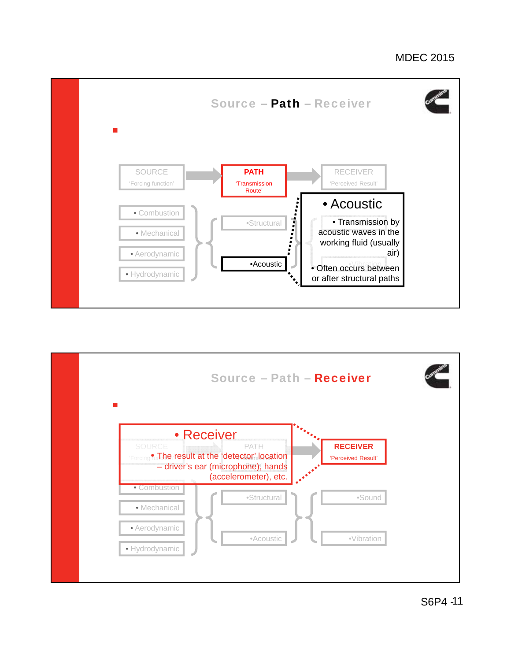

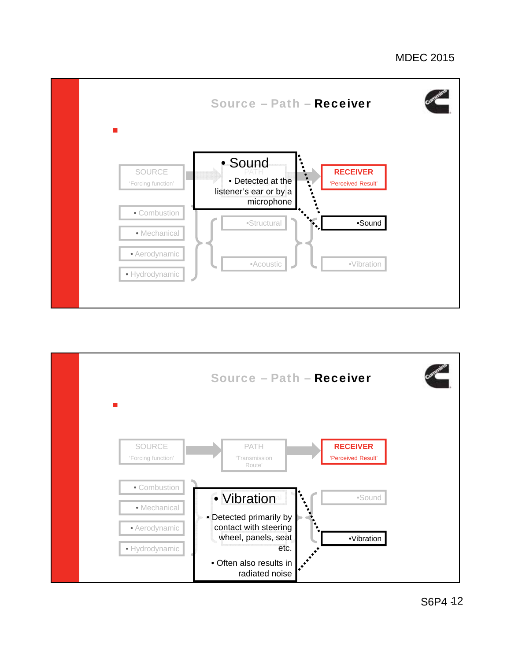

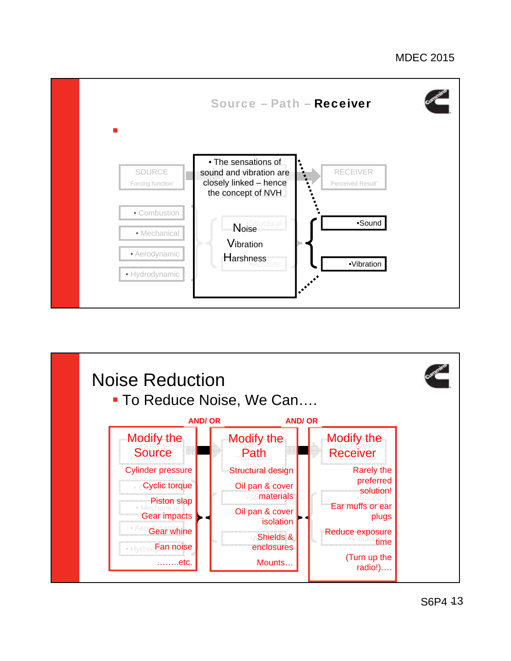

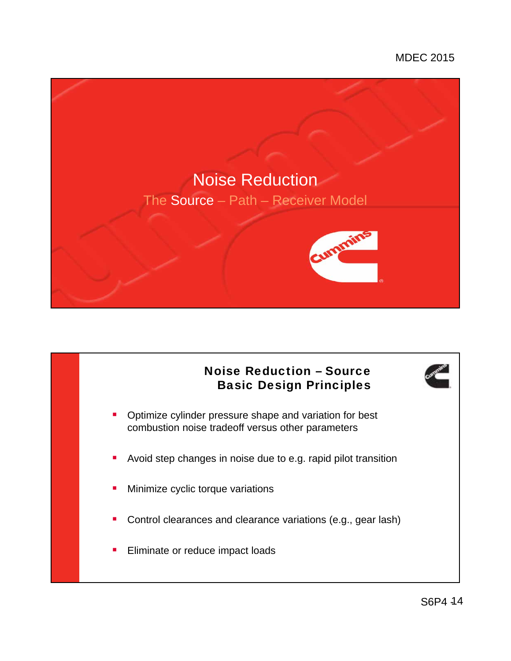

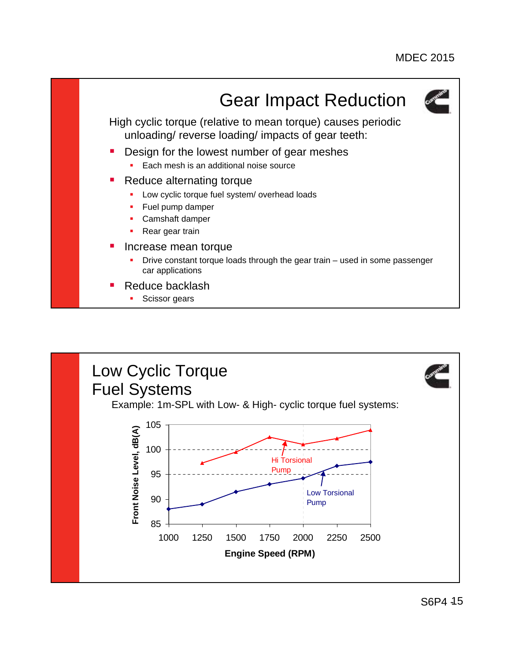

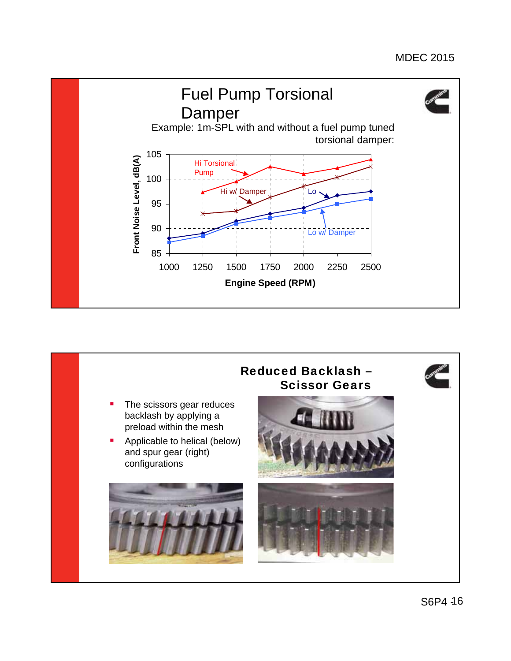

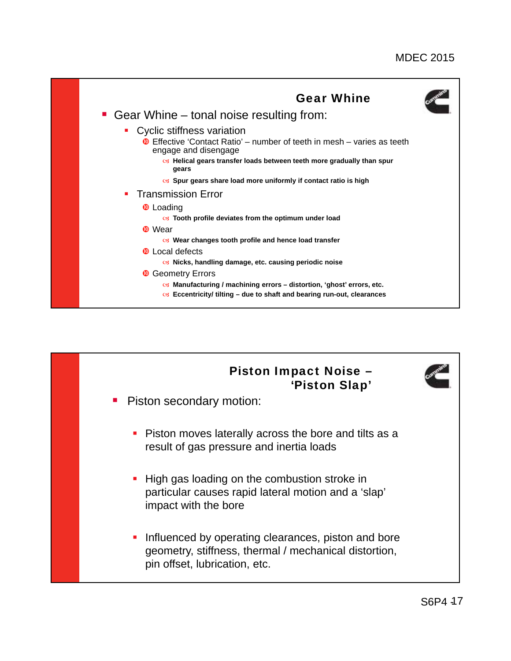

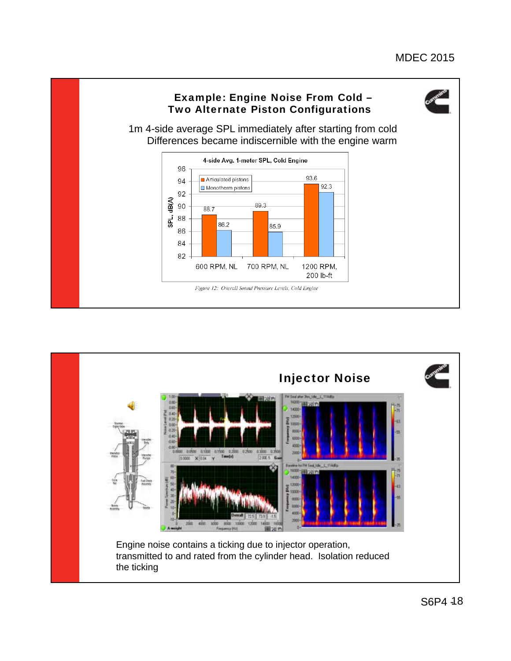

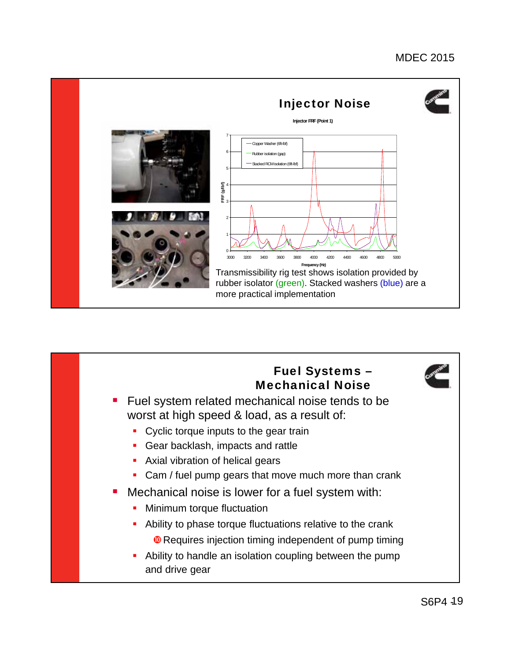

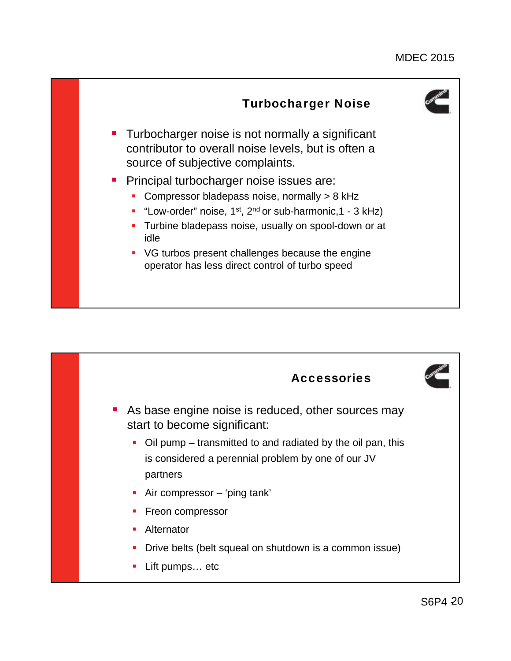

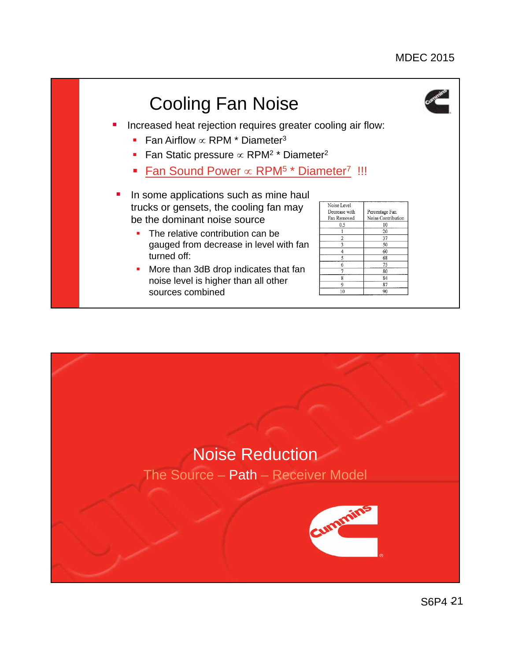

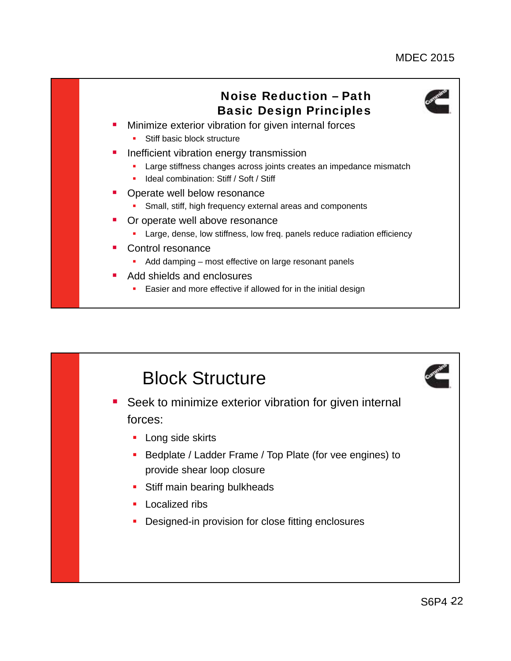

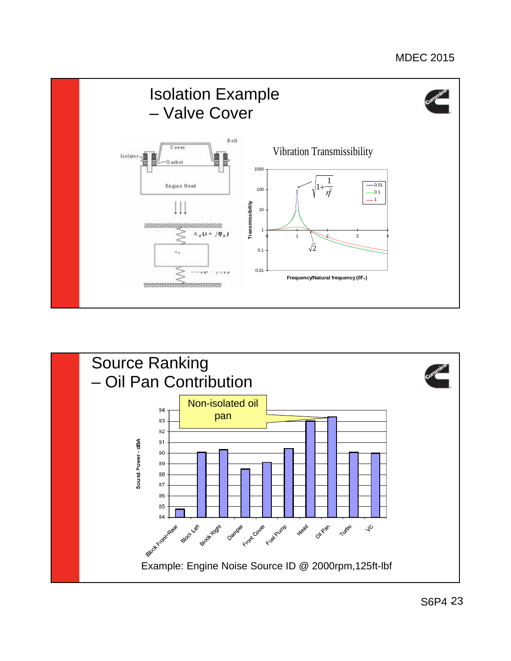

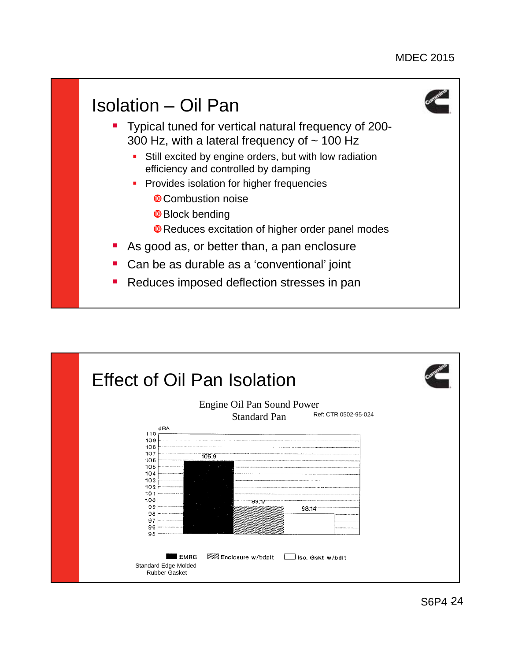

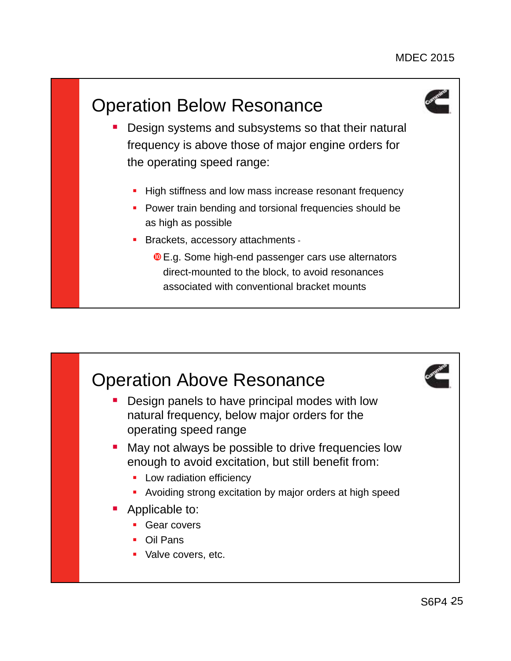# Operation Below Resonance



- Design systems and subsystems so that their natural frequency is above those of major engine orders for the operating speed range:
	- **High stiffness and low mass increase resonant frequency**
	- **Power train bending and torsional frequencies should be** as high as possible
	- **Brackets, accessory attachments -**
		- **O** E.g. Some high-end passenger cars use alternators direct-mounted to the block, to avoid resonances associated with conventional bracket mounts

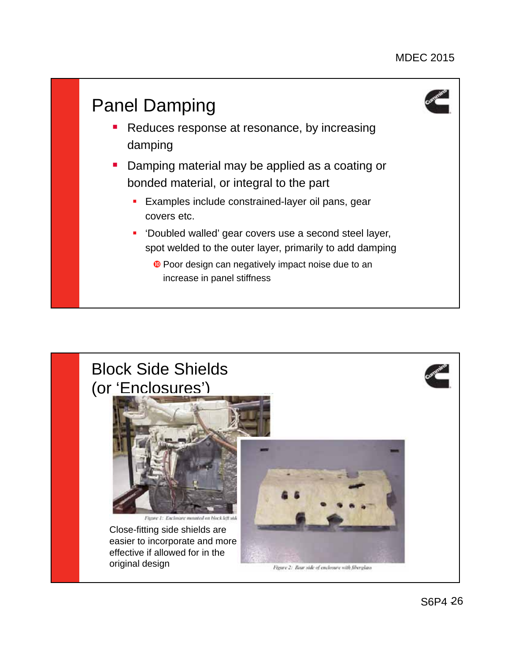

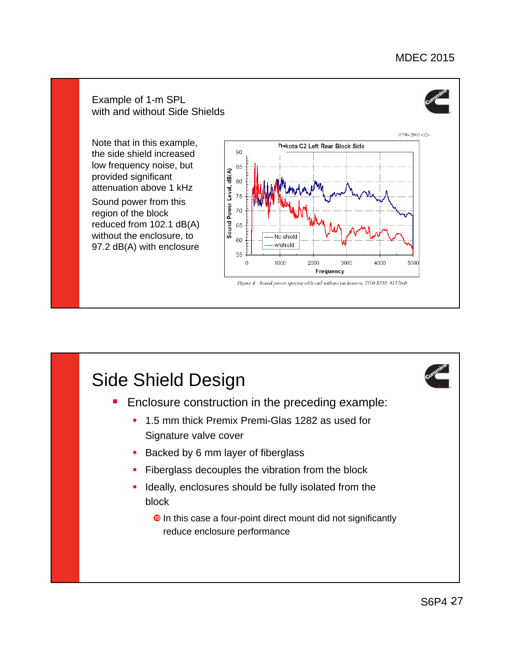#### Example of 1-m SPL with and without Side Shields



Note that in this example, the side shield increased low frequency noise, but provided significant attenuation above 1 kHz

Sound power from this region of the block reduced from 102.1 dB(A) without the enclosure, to 97.2 dB(A) with enclosure